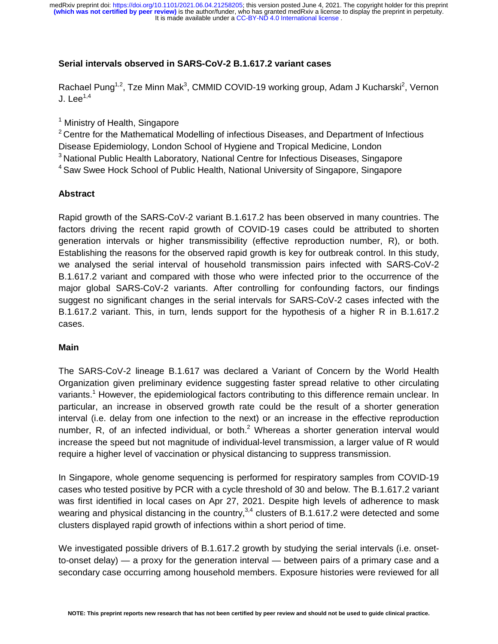It is made available under a CC-BY-ND 4.0 International license. medRxiv preprint doi: [https://doi.org/10.1101/2021.06.04.21258205;](https://doi.org/10.1101/2021.06.04.21258205) this version posted June 4, 2021. The copyright holder for this preprint<br>(which was not certified by peer review) is the author/funder, who has granted med

## **Serial intervals observed in SARS-CoV-2 B.1.617.2 variant cases**

Rachael Pung<sup>1,2</sup>, Tze Minn Mak<sup>3</sup>, CMMID COVID-19 working group, Adam J Kucharski<sup>2</sup>, Vernon J. Lee $^{1,4}$ 

<sup>1</sup> Ministry of Health, Singapore

 $2$  Centre for the Mathematical Modelling of infectious Diseases, and Department of Infectious Disease Epidemiology, London School of Hygiene and Tropical Medicine, London 3 National Public Health Laboratory, National Centre for Infectious Diseases, Singapore

<sup>4</sup> Saw Swee Hock School of Public Health, National University of Singapore, Singapore

## **Abstract**

Rapid growth of the SARS-CoV-2 variant B.1.617.2 has been observed in many countries. The factors driving the recent rapid growth of COVID-19 cases could be attributed to shorten generation intervals or higher transmissibility (effective reproduction number, R), or both. Establishing the reasons for the observed rapid growth is key for outbreak control. In this study, we analysed the serial interval of household transmission pairs infected with SARS-CoV-2 B.1.617.2 variant and compared with those who were infected prior to the occurrence of the major global SARS-CoV-2 variants. After controlling for confounding factors, our findings suggest no significant changes in the serial intervals for SARS-CoV-2 cases infected with the B.1.617.2 variant. This, in turn, lends support for the hypothesis of a higher R in B.1.617.2 cases.

# **Main**

The SARS-CoV-2 lineage B.1.617 was declared a Variant of Concern by the World Health Organization given preliminary evidence suggesting faster spread relative to other circulating variants.<sup>1</sup> However, the epidemiological factors contributing to this difference remain unclear. In particular, an increase in observed growth rate could be the result of a shorter generation interval (i.e. delay from one infection to the next) or an increase in the effective reproduction number, R, of an infected individual, or both. $2$  Whereas a shorter generation interval would increase the speed but not magnitude of individual-level transmission, a larger value of R would require a higher level of vaccination or physical distancing to suppress transmission.

In Singapore, whole genome sequencing is performed for respiratory samples from COVID-19 cases who tested positive by PCR with a cycle threshold of 30 and below. The B.1.617.2 variant was first identified in local cases on Apr 27, 2021. Despite high levels of adherence to mask wearing and physical distancing in the country,  $3,4$  clusters of B.1.617.2 were detected and some clusters displayed rapid growth of infections within a short period of time.

We investigated possible drivers of B.1.617.2 growth by studying the serial intervals (i.e. onsetto-onset delay) — a proxy for the generation interval — between pairs of a primary case and a secondary case occurring among household members. Exposure histories were reviewed for all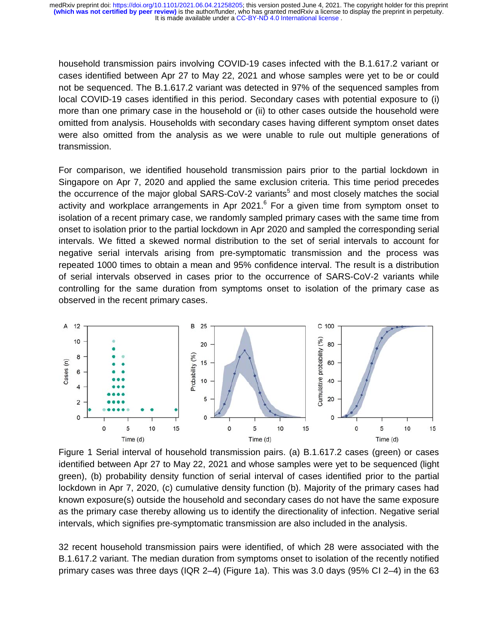It is made available under a CC-BY-ND 4.0 International license. **(which was not certified by peer review)** is the author/funder, who has granted medRxiv a license to display the preprint in perpetuity. medRxiv preprint doi: [https://doi.org/10.1101/2021.06.04.21258205;](https://doi.org/10.1101/2021.06.04.21258205) this version posted June 4, 2021. The copyright holder for this preprint

household transmission pairs involving COVID-19 cases infected with the B.1.617.2 variant or cases identified between Apr 27 to May 22, 2021 and whose samples were yet to be or could not be sequenced. The B.1.617.2 variant was detected in 97% of the sequenced samples from m local COVID-19 cases identified in this period. Secondary cases with potential exposure to (i) more than one primary case in the household or (ii) to other cases outside the household were omitted from analysis. Households with secondary cases having different symptom onset dates es were also omitted from the analysis as we were unable to rule out multiple generations of transmission.

For comparison, we identified household transmission pairs prior to the partial lockdown in Singapore on Apr 7, 2020 and applied the same exclusion criteria. This time period precedes the occurrence of the major global SARS-CoV-2 variants<sup>5</sup> and most closely matches the social activity and workplace arrangements in Apr 2021. $6$  For a given time from symptom onset to isolation of a recent primary case, we randomly sampled primary cases with the same time from m onset to isolation prior to the partial lockdown in Apr 2020 and sampled the corresponding serial intervals. We fitted a skewed normal distribution to the set of serial intervals to account for negative serial intervals arising from pre-symptomatic transmission and the process was repeated 1000 times to obtain a mean and 95% confidence interval. The result is a distribution of serial intervals observed in cases prior to the occurrence of SARS-CoV-2 variants while controlling for the same duration from symptoms onset to isolation of the primary case as as observed in the recent primary cases.



Figure 1 Serial interval of household transmission pairs. (a) B.1.617.2 cases (green) or cases identified between Apr 27 to May 22, 2021 and whose samples were yet to be sequenced (light green), (b) probability density function of serial interval of cases identified prior to the partial lockdown in Apr 7, 2020, (c) cumulative density function (b). Majority of the primary cases had known exposure(s) outside the household and secondary cases do not have the same exposure as the primary case thereby allowing us to identify the directionality of infection. Negative serial intervals, which signifies pre-symptomatic transmission are also included in the analysis.

32 recent household transmission pairs were identified, of which 28 were associated with the he B.1.617.2 variant. The median duration from symptoms onset to isolation of the recently notified primary cases was three days (IQR 2–4) (Figure 1a). This was 3.0 days (95% CI 2–4) in the 63 63